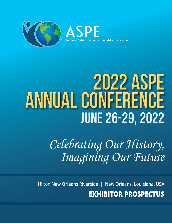

# **2022 ASPE ANNUAL CONFERENCE** June 26-29, 2022

*Celebrating Our History, Imagining Our Future*

 **Hilton New Orleans Riverside | New Orleans, Louisiana, USA**

**EXHIBITOR PROSPECTUS**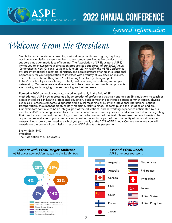

### *General Information*

# *Welcome From the President*

Simulation as a foundational teaching methodology continues to grow, inspiring our human simulation expert members to constantly seek innovative products that support simulation modalities of learning. The Association of SP Educators (ASPE) invites you to showcase your simulation products as a supporter of our 2022 Annual Conference in New Orleans, Louisiana, June 26 -29. Annually, the ASPE Conference attracts international educators, clinicians, and administrators offering an exceptional opportunity for your organization to interface with a variety of key decision makers. The conference theme this year is "Celebrating Our History - Imagining Our Future" which will promote timely content, best practices, innovations, and ample networking. Our members are always eager to hear how current simulation products are growing and changing to meet ongoing and future needs.



Formed in 2000 by medical educators working primarily in the field of SP

methodology, ASPE now represents a huge breadth of professions that train and design SP simulations to teach or assess critical skills in health professional education. Such competencies include patient communication, physical exam skills, process standards, diagnostic and clinical reasoning skills, inter-professional interactions, patient transportation, crisis management, military medicine, task trainings, leadership, and the list goes on and on... Our exhibitors continue to be an integral part of the educational and networking experience anticipated by our members. ASPE encourages exhibitors to attend concurrent and plenary sessions and learn more about integrating their products and current methodology to support advancement of the field. Please take the time to review the opportunities available to your company and consider becoming a part of the community of human simulation experts. I look forward to meeting each of you personally at the 2022 ASPE Annual Conference where you will experience the power of our mission in action. ASPE always puts people first!

Shawn Galin, PhD President The Association of SP Educators

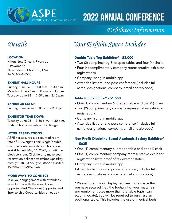

### *Exhibitor Information*

#### LOCATION

Hilton New Orleans Riverside 2 Poydras St New Orleans, LA 70130, USA 1+ 504-561-0500

#### EXHIBIT HALL HOURS

Sunday, June 26 — 3:00 p.m. - 6:30 p.m. Monday, June 27 — 7:30 a.m. - 5:30 p.m. Tuesday, June 28 — 7:00 a.m. - 3:15 p.m.

#### EXHIBITOR SET-UP

Sunday, June 26 — 10:00 a.m. - 2:30 p.m.

#### EXHIBITOR TEAR-DOWN

Tuesday, June 28 — 3:30 p.m. - 4:30 p.m. \*Exhibit hours are subject to change.

#### HOTEL RESERVATIONS

ASPE has secured a discounted room rate of \$199/night + tax (single/double) over the conference dates. This rate is available until May 16, 2022, or until the block sells out. Click here to make your reservation online: [https://book.passkey.](https://book.passkey.com/gt/218303979?gtid=88c29803c3eb15968baf013a927c8a4a) [com/gt/218303979?gtid=88c29803c3eb-](https://book.passkey.com/gt/218303979?gtid=88c29803c3eb15968baf013a927c8a4a)[15968baf013a927c8a4a](https://book.passkey.com/gt/218303979?gtid=88c29803c3eb15968baf013a927c8a4a)

#### MORE WAYS TO CONNECT

Take your engagement with attendees even further with these exclusive opportunities! Check out Supporter and Sponsorship Opportunities on page 4.

### *Details Your Exhibit Space Includes*

#### Double Table Top Exhibitor\* - \$3,000

- Two (2) complimentry 6' draped tables and four (4) chairs
- Four (4) complimentary company representative exhibitor registrations
- Company listing in mobile app
- Attendee list pre- and post-conference (includes full name, designations, company, email and zip code)

#### Table Top Exhibitor\* - \$1,550

- One (1) complimentary 6' draped table and two (2) chairs
- Two (2) complimentary company representative exhibitor registrations
- Company listing in mobile app
- Attendee list pre- and post-conference (includes full name, designations, company, email and zip code)

#### Non-Profit Discipline-Based Academic Society Exhibitor\* - \$625

- One (1) complimentary 6' draped table and one (1) chair
- One (1) complimentary company representative exhibitor registration (with proof of tax exempt status)
- Company listing in mobile app
- Attendee list pre- and post-conference (includes full name, designations, company, email and zip code)

\* Please note: If your display requires more space than you have secured (i.e., the footprint of your materials and equipment uses more than the table top(s) can accommodate), you will be required to purchase an additional table. This includes the use of medical beds.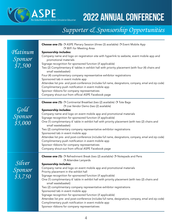

### *Supporter & Sponsorship Opportunities*

| Platinum<br>Sponsor<br>\$7,500      | Choose one (1): O ASPE Plenary Session (three (3) available) O Event Mobile App<br>O WiFi for Meeting Area<br>Sponsorship includes:<br>Company name and logo on registration site with hyperlink to website, event mobile app and<br>promotional materials<br>Signage recognition for sponsored function (if applicable)<br>Two (2) Complimentary 6' tables in exhibit hall with priority placement (with four (4) chairs and<br>small wastebasket)<br>Four (4) complimentary company representative exhibitor registrations<br>Sponsored tab in event mobile app<br>Attendee list pre- and post-conference (includes full name, designations, company, email and zip code)<br>Complimentary push notification in event mobile app<br>Sponsor ribbons for company representatives                                                     |
|-------------------------------------|---------------------------------------------------------------------------------------------------------------------------------------------------------------------------------------------------------------------------------------------------------------------------------------------------------------------------------------------------------------------------------------------------------------------------------------------------------------------------------------------------------------------------------------------------------------------------------------------------------------------------------------------------------------------------------------------------------------------------------------------------------------------------------------------------------------------------------------|
|                                     | Company shout-out from official ASPE Facebook page                                                                                                                                                                                                                                                                                                                                                                                                                                                                                                                                                                                                                                                                                                                                                                                    |
| Gold<br>Sponsor<br>\$5,000          | Choose one (1): O Continental Breakfast (two (2) available) O Tote Bags<br>O Live Vendor Demo (two (2) available)<br>Sponsorship includes:<br>Company name and logo on event mobile app and promotional materials<br>Signage recognition for sponsored function (if applicable)<br>One (1) complimentary 6' table in exhibit hall with priority placement (with two (2) chairs and<br>small wastebasket)<br>Two (2) complimentary company representative exhibitor registrations<br>Sponsored tab in event mobile app<br>Attendee list pre- and post-conference (includes full name, designations, company, email and zip code)<br>Complimentary push notification in event mobile app<br>Sponsor ribbons for company representatives<br>Company shout-out from official ASPE Facebook page                                           |
| Silver<br><i>Sponsor</i><br>\$3,750 | <b>Choose one (1):</b> O Refreshment Break (two (2) available) O Notepads and Pens<br>O Attendee Lanyards<br>Sponsorship includes:<br>Company name and logo on event mobile app and promotional materials<br>Priority placement in the exhibit hall<br>Signage recognition for sponsored function (if applicable)<br>One (1) complimentary 6' table in exhibit hall with priority placement (with two (2) chairs and<br>small wastebasket)<br>Two (2) complimentary company representative exhibitor registrations<br>Sponsored tab in event mobile app<br>Signage recognition for sponsored function (if applicable)<br>Attendee list pre- and post-conference (includes full name, designations, company, email and zip code)<br>Complimentary push notification in event mobile app<br>Sponsor ribbons for company representatives |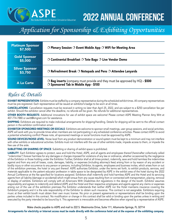

*Application for Sponsorship & Exhibiting Opportunities*

| <b>Platinum Sponsor</b><br>\$7,500 | O Plenary Session O Event Mobile App O WiFi for Meeting Area                                                          |
|------------------------------------|-----------------------------------------------------------------------------------------------------------------------|
| <b>Gold Sponsor</b><br>\$5,000     | O Continental Breakfast O Tote Bags O Live Vendor Demo                                                                |
| <b>Silver Sponsor</b><br>\$3,750   | $\bigcirc$ Refreshment Break $\bigcirc$ Notepads and Pens $\bigcirc$ Attendee Lanyards                                |
| <b>A La Carte</b>                  | O Bag inserts (company must provide and they must be approved by HQ) - \$500<br>O Sponsored Tab in Mobile App - \$100 |

### *Rules & Details*

**EXHIBIT REPRESENTATION:** Exhibits must be staffed by a company representative during the scheduled exhibit times. All company representatives must be pre-registered. Each representative will be issued an exhibitor's badge to be worn at all times.

CANCELLATIONS: Cancellation requests must be received in writing no later than April 25, 2022, and are subject to a \$250 cancellation fee per exhibit. Should the exhibitor cancel after the deadline, no refunds will be given. No refunds for additional representatives.

OTHER BOOTH REQUESTS: Additional innovations for use of exhibit space are welcome! Please contact ASPE Meeting Planner Amy Witt at 407-774-7880 or [awitt@kmgnet.com](mailto:awitt@kmgnet.com) for assistance.

SHIPPING: Exhibitors are required to make individual arrangements for shipping/handling. Details for shipping will be sent to the official contact person in the exhibitor confirmation email.

EXHIBITOR SPONSORED MEETINGS OR SOCIALS: Exhibitors are welcome to sponsor small meetings, user group sessions, and social activities. ASPE will work with you to provide times when members are not participating in any scheduled conference activities. Please contact ASPE to avoid a potential scheduling conflict! Please note, all sponsored meetings or social functions must be approved by ASPE.

SOUND DEVICES/NOISE LEVEL: Noise level from any product demonstration or sound system must be kept to a minimum and may not interfere with other exhibits or educational activities. Exhibits must not interfere with the use of other exhibits made, impede access to them, or impede the free use of the aisle.

SUBLETTING OR SHARING OF SPACE: Subletting or sharing of exhibit space is prohibited.

LIABILITY: Each Exhibitor agrees to protect, save and hold the Hotel, ASPE, and all agents and employees thereof (hereinafter collectively called "indemnities") forever harmless for any damages or charges imposed for violations of any law or ordinance, whether occasioned by the negligence of the Exhibitor or those holding under the Exhibitor. Further, Exhibitor shall at all times protect, indemnify, save and hold harmless the indemnities against and from any and all losses, costs, damages, liability, or expenses (including attorney's fees) arising from or by reason of any accident or bodily injury or other occurrence to any person or persons, including Exhibitor, its agents, employees and business invites, which arises from or out of the exhibition premises, the hotel or any part thereof. ASPE authorizes Exhibitor, under the terms set forth, to exhibit products, services, and materials applicable to the patient educator profession in table space to be designated by ASPE in the exhibit area of the hotel during the 2022 Annual Conference at the fee specified for locations assigned. Exhibitors shall indemnify and hold harmless ASPE and the Hotel and its servicing agents from all liability (damage or accidental) which might ensue from any cause resulting from or connected with transportation, placing, removal or display of exhibits. Exhibitors will comply with all Americans With Disabilities Act regulations in the design of the booth. Exhibitor assumes responsibility and agrees to indemnify and defend ASPE and the Hotel and their respective employees and agents against any claims or expenses arising out of the use of the exhibition premises.The Exhibitor understands that neither ASPE nor the Hotel maintains insurance covering the Exhibitor's property and it is the sole responsibility of the Exhibitor to obtain such insurance. This contract is not assignable. Exhibitors requiring music at their exhibit booth must obtain their own music license. No prior or present agreements or representations shall be binding upon the parties unless included in this contract. No modification or change in this contract shall be valid or binding upon the parties unless in writing and executed by the party intended to be bound by it. This agreement is irrevocable and becomes effective when signed by a representative of ASPE.

Make checks payable to ASPE and mail to 222 S. Westmonte Drive, Suite 111, Altamonte Springs, FL 32714

Arrangements for electricity or Internet access must be made directly with the conference hotel and at the expense of the exhibiting company.